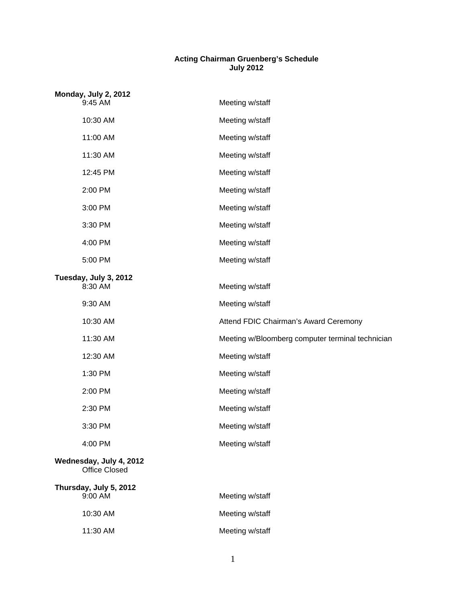## **Acting Chairman Gruenberg's Schedule July 2012**

| Monday, July 2, 2012<br>9:45 AM                 | Meeting w/staff                                  |
|-------------------------------------------------|--------------------------------------------------|
| 10:30 AM                                        | Meeting w/staff                                  |
| 11:00 AM                                        | Meeting w/staff                                  |
| 11:30 AM                                        | Meeting w/staff                                  |
| 12:45 PM                                        | Meeting w/staff                                  |
| 2:00 PM                                         | Meeting w/staff                                  |
| 3:00 PM                                         | Meeting w/staff                                  |
| 3:30 PM                                         | Meeting w/staff                                  |
| 4:00 PM                                         | Meeting w/staff                                  |
| 5:00 PM                                         | Meeting w/staff                                  |
| Tuesday, July 3, 2012<br>8:30 AM                | Meeting w/staff                                  |
| 9:30 AM                                         | Meeting w/staff                                  |
| 10:30 AM                                        | Attend FDIC Chairman's Award Ceremony            |
| 11:30 AM                                        | Meeting w/Bloomberg computer terminal technician |
| 12:30 AM                                        | Meeting w/staff                                  |
| 1:30 PM                                         | Meeting w/staff                                  |
| 2:00 PM                                         | Meeting w/staff                                  |
| 2:30 PM                                         | Meeting w/staff                                  |
| 3:30 PM                                         | Meeting w/staff                                  |
| 4:00 PM                                         | Meeting w/staff                                  |
| Wednesday, July 4, 2012<br><b>Office Closed</b> |                                                  |
| Thursday, July 5, 2012<br>9:00 AM               | Meeting w/staff                                  |
| 10:30 AM                                        | Meeting w/staff                                  |
| 11:30 AM                                        | Meeting w/staff                                  |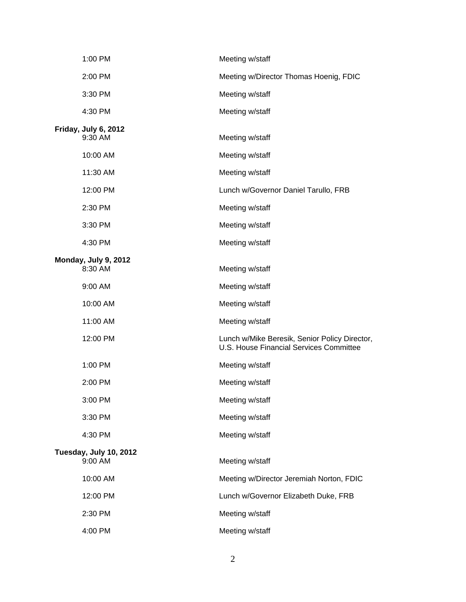| 1:00 PM                           | Meeting w/staff                                                                          |
|-----------------------------------|------------------------------------------------------------------------------------------|
| 2:00 PM                           | Meeting w/Director Thomas Hoenig, FDIC                                                   |
| 3:30 PM                           | Meeting w/staff                                                                          |
| 4:30 PM                           | Meeting w/staff                                                                          |
| Friday, July 6, 2012<br>9:30 AM   | Meeting w/staff                                                                          |
| 10:00 AM                          | Meeting w/staff                                                                          |
| 11:30 AM                          | Meeting w/staff                                                                          |
| 12:00 PM                          | Lunch w/Governor Daniel Tarullo, FRB                                                     |
| 2:30 PM                           | Meeting w/staff                                                                          |
| 3:30 PM                           | Meeting w/staff                                                                          |
| 4:30 PM                           | Meeting w/staff                                                                          |
| Monday, July 9, 2012<br>8:30 AM   | Meeting w/staff                                                                          |
| 9:00 AM                           | Meeting w/staff                                                                          |
| 10:00 AM                          | Meeting w/staff                                                                          |
| 11:00 AM                          | Meeting w/staff                                                                          |
| 12:00 PM                          | Lunch w/Mike Beresik, Senior Policy Director,<br>U.S. House Financial Services Committee |
| 1:00 PM                           | Meeting w/staff                                                                          |
| 2:00 PM                           | Meeting w/staff                                                                          |
| 3:00 PM                           | Meeting w/staff                                                                          |
| 3:30 PM                           | Meeting w/staff                                                                          |
| 4:30 PM                           | Meeting w/staff                                                                          |
| Tuesday, July 10, 2012<br>9:00 AM | Meeting w/staff                                                                          |
| 10:00 AM                          | Meeting w/Director Jeremiah Norton, FDIC                                                 |
| 12:00 PM                          | Lunch w/Governor Elizabeth Duke, FRB                                                     |
| 2:30 PM                           | Meeting w/staff                                                                          |
| 4:00 PM                           | Meeting w/staff                                                                          |

2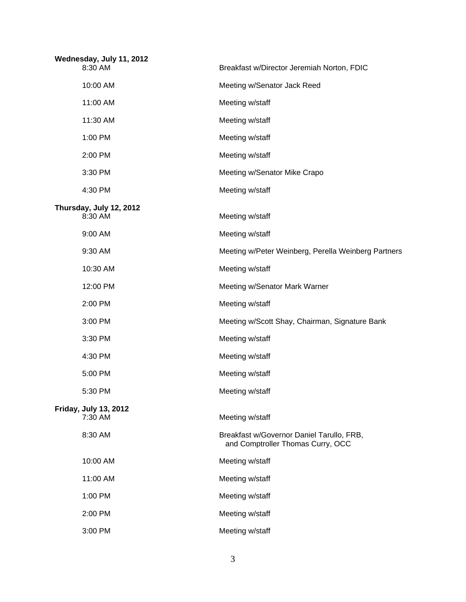| Wednesday, July 11, 2012<br>8:30 AM     | Breakfast w/Director Jeremiah Norton, FDIC                                     |
|-----------------------------------------|--------------------------------------------------------------------------------|
| 10:00 AM                                | Meeting w/Senator Jack Reed                                                    |
| 11:00 AM                                | Meeting w/staff                                                                |
| 11:30 AM                                | Meeting w/staff                                                                |
| 1:00 PM                                 | Meeting w/staff                                                                |
| 2:00 PM                                 | Meeting w/staff                                                                |
| 3:30 PM                                 | Meeting w/Senator Mike Crapo                                                   |
| 4:30 PM                                 | Meeting w/staff                                                                |
| Thursday, July 12, 2012<br>8:30 AM      | Meeting w/staff                                                                |
| 9:00 AM                                 | Meeting w/staff                                                                |
| 9:30 AM                                 | Meeting w/Peter Weinberg, Perella Weinberg Partners                            |
| 10:30 AM                                | Meeting w/staff                                                                |
| 12:00 PM                                | Meeting w/Senator Mark Warner                                                  |
| 2:00 PM                                 | Meeting w/staff                                                                |
| 3:00 PM                                 | Meeting w/Scott Shay, Chairman, Signature Bank                                 |
| 3:30 PM                                 | Meeting w/staff                                                                |
| 4:30 PM                                 | Meeting w/staff                                                                |
| 5:00 PM                                 | Meeting w/staff                                                                |
| 5:30 PM                                 | Meeting w/staff                                                                |
| <b>Friday, July 13, 2012</b><br>7:30 AM | Meeting w/staff                                                                |
| 8:30 AM                                 | Breakfast w/Governor Daniel Tarullo, FRB,<br>and Comptroller Thomas Curry, OCC |
| 10:00 AM                                | Meeting w/staff                                                                |
| 11:00 AM                                | Meeting w/staff                                                                |
| 1:00 PM                                 | Meeting w/staff                                                                |
| 2:00 PM                                 | Meeting w/staff                                                                |
| 3:00 PM                                 | Meeting w/staff                                                                |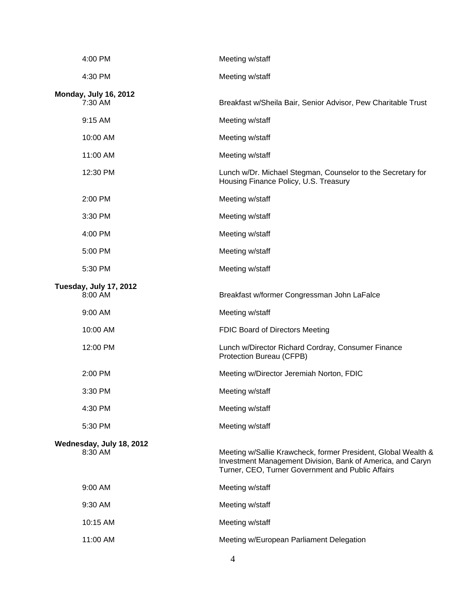| 4:00 PM                                 | Meeting w/staff                                                                                                                                                                  |
|-----------------------------------------|----------------------------------------------------------------------------------------------------------------------------------------------------------------------------------|
| 4:30 PM                                 | Meeting w/staff                                                                                                                                                                  |
| <b>Monday, July 16, 2012</b><br>7:30 AM | Breakfast w/Sheila Bair, Senior Advisor, Pew Charitable Trust                                                                                                                    |
| 9:15 AM                                 | Meeting w/staff                                                                                                                                                                  |
| 10:00 AM                                | Meeting w/staff                                                                                                                                                                  |
| 11:00 AM                                | Meeting w/staff                                                                                                                                                                  |
| 12:30 PM                                | Lunch w/Dr. Michael Stegman, Counselor to the Secretary for<br>Housing Finance Policy, U.S. Treasury                                                                             |
| 2:00 PM                                 | Meeting w/staff                                                                                                                                                                  |
| 3:30 PM                                 | Meeting w/staff                                                                                                                                                                  |
| 4:00 PM                                 | Meeting w/staff                                                                                                                                                                  |
| 5:00 PM                                 | Meeting w/staff                                                                                                                                                                  |
| 5:30 PM                                 | Meeting w/staff                                                                                                                                                                  |
| Tuesday, July 17, 2012<br>8:00 AM       | Breakfast w/former Congressman John LaFalce                                                                                                                                      |
| 9:00 AM                                 | Meeting w/staff                                                                                                                                                                  |
| 10:00 AM                                | FDIC Board of Directors Meeting                                                                                                                                                  |
| 12:00 PM                                | Lunch w/Director Richard Cordray, Consumer Finance<br>Protection Bureau (CFPB)                                                                                                   |
| 2:00 PM                                 | Meeting w/Director Jeremiah Norton, FDIC                                                                                                                                         |
| 3:30 PM                                 | Meeting w/staff                                                                                                                                                                  |
| 4:30 PM                                 | Meeting w/staff                                                                                                                                                                  |
| 5:30 PM                                 | Meeting w/staff                                                                                                                                                                  |
| Wednesday, July 18, 2012<br>8:30 AM     | Meeting w/Sallie Krawcheck, former President, Global Wealth &<br>Investment Management Division, Bank of America, and Caryn<br>Turner, CEO, Turner Government and Public Affairs |
| 9:00 AM                                 | Meeting w/staff                                                                                                                                                                  |
| 9:30 AM                                 | Meeting w/staff                                                                                                                                                                  |
| 10:15 AM                                | Meeting w/staff                                                                                                                                                                  |
| 11:00 AM                                | Meeting w/European Parliament Delegation                                                                                                                                         |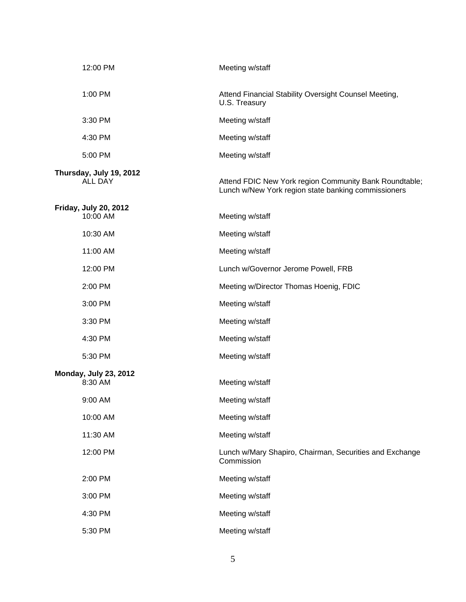| 12:00 PM                                  | Meeting w/staff                                                                                               |
|-------------------------------------------|---------------------------------------------------------------------------------------------------------------|
| 1:00 PM                                   | Attend Financial Stability Oversight Counsel Meeting,<br>U.S. Treasury                                        |
| 3:30 PM                                   | Meeting w/staff                                                                                               |
| 4:30 PM                                   | Meeting w/staff                                                                                               |
| 5:00 PM                                   | Meeting w/staff                                                                                               |
| Thursday, July 19, 2012<br><b>ALL DAY</b> | Attend FDIC New York region Community Bank Roundtable;<br>Lunch w/New York region state banking commissioners |
| <b>Friday, July 20, 2012</b><br>10:00 AM  | Meeting w/staff                                                                                               |
| 10:30 AM                                  | Meeting w/staff                                                                                               |
| 11:00 AM                                  | Meeting w/staff                                                                                               |
| 12:00 PM                                  | Lunch w/Governor Jerome Powell, FRB                                                                           |
| 2:00 PM                                   | Meeting w/Director Thomas Hoenig, FDIC                                                                        |
| 3:00 PM                                   | Meeting w/staff                                                                                               |
| 3:30 PM                                   | Meeting w/staff                                                                                               |
| 4:30 PM                                   | Meeting w/staff                                                                                               |
| 5:30 PM                                   | Meeting w/staff                                                                                               |
| <b>Monday, July 23, 2012</b><br>8:30 AM   | Meeting w/staff                                                                                               |
| 9:00 AM                                   | Meeting w/staff                                                                                               |
| 10:00 AM                                  | Meeting w/staff                                                                                               |
| 11:30 AM                                  | Meeting w/staff                                                                                               |
| 12:00 PM                                  | Lunch w/Mary Shapiro, Chairman, Securities and Exchange<br>Commission                                         |
| 2:00 PM                                   | Meeting w/staff                                                                                               |
| 3:00 PM                                   | Meeting w/staff                                                                                               |
| 4:30 PM                                   | Meeting w/staff                                                                                               |
| 5:30 PM                                   | Meeting w/staff                                                                                               |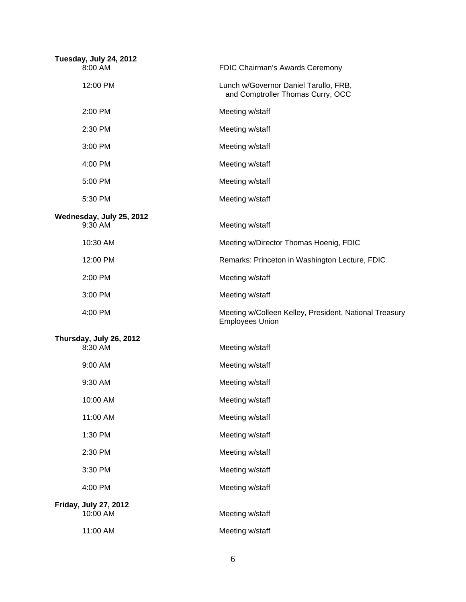| Tuesday, July 24, 2012<br>8:00 AM   | FDIC Chairman's Awards Ceremony                                                  |
|-------------------------------------|----------------------------------------------------------------------------------|
| 12:00 PM                            | Lunch w/Governor Daniel Tarullo, FRB,<br>and Comptroller Thomas Curry, OCC       |
| 2:00 PM                             | Meeting w/staff                                                                  |
| 2:30 PM                             | Meeting w/staff                                                                  |
| 3:00 PM                             | Meeting w/staff                                                                  |
| 4:00 PM                             | Meeting w/staff                                                                  |
| 5:00 PM                             | Meeting w/staff                                                                  |
| 5:30 PM                             | Meeting w/staff                                                                  |
| Wednesday, July 25, 2012<br>9:30 AM |                                                                                  |
|                                     | Meeting w/staff                                                                  |
| 10:30 AM                            | Meeting w/Director Thomas Hoenig, FDIC                                           |
| 12:00 PM                            | Remarks: Princeton in Washington Lecture, FDIC                                   |
| 2:00 PM                             | Meeting w/staff                                                                  |
| 3:00 PM                             | Meeting w/staff                                                                  |
| 4:00 PM                             | Meeting w/Colleen Kelley, President, National Treasury<br><b>Employees Union</b> |
| Thursday, July 26, 2012             |                                                                                  |
| 8:30 AM                             | Meeting w/staff                                                                  |
| 9:00 AM                             | Meeting w/staff                                                                  |
| 9:30 AM                             | Meeting w/staff                                                                  |
| 10:00 AM                            | Meeting w/staff                                                                  |
| 11:00 AM                            | Meeting w/staff                                                                  |
| 1:30 PM                             | Meeting w/staff                                                                  |
| 2:30 PM                             | Meeting w/staff                                                                  |
| 3:30 PM                             | Meeting w/staff                                                                  |
| 4:00 PM                             | Meeting w/staff                                                                  |
| <b>Friday, July 27, 2012</b>        |                                                                                  |
| 10:00 AM                            | Meeting w/staff                                                                  |
| 11:00 AM                            | Meeting w/staff                                                                  |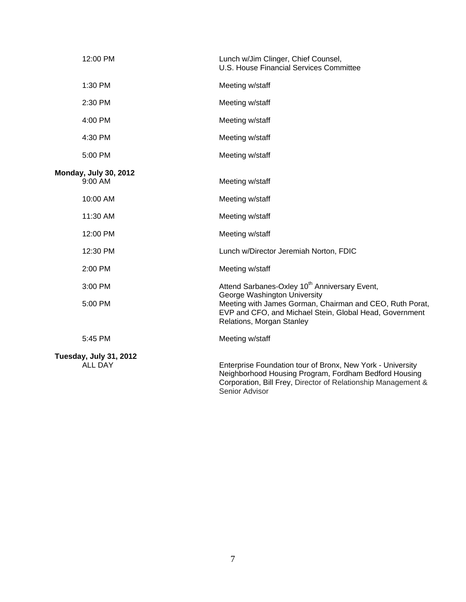| 12:00 PM                                 | Lunch w/Jim Clinger, Chief Counsel,<br>U.S. House Financial Services Committee                                                                                                                         |
|------------------------------------------|--------------------------------------------------------------------------------------------------------------------------------------------------------------------------------------------------------|
| 1:30 PM                                  | Meeting w/staff                                                                                                                                                                                        |
| 2:30 PM                                  | Meeting w/staff                                                                                                                                                                                        |
| 4:00 PM                                  | Meeting w/staff                                                                                                                                                                                        |
| 4:30 PM                                  | Meeting w/staff                                                                                                                                                                                        |
| 5:00 PM                                  | Meeting w/staff                                                                                                                                                                                        |
| <b>Monday, July 30, 2012</b><br>9:00 AM  | Meeting w/staff                                                                                                                                                                                        |
| 10:00 AM                                 | Meeting w/staff                                                                                                                                                                                        |
| 11:30 AM                                 | Meeting w/staff                                                                                                                                                                                        |
| 12:00 PM                                 | Meeting w/staff                                                                                                                                                                                        |
| 12:30 PM                                 | Lunch w/Director Jeremiah Norton, FDIC                                                                                                                                                                 |
| 2:00 PM                                  | Meeting w/staff                                                                                                                                                                                        |
| 3:00 PM                                  | Attend Sarbanes-Oxley 10 <sup>th</sup> Anniversary Event,                                                                                                                                              |
| 5:00 PM                                  | George Washington University<br>Meeting with James Gorman, Chairman and CEO, Ruth Porat,<br>EVP and CFO, and Michael Stein, Global Head, Government<br>Relations, Morgan Stanley                       |
| 5:45 PM                                  | Meeting w/staff                                                                                                                                                                                        |
| Tuesday, July 31, 2012<br><b>ALL DAY</b> | Enterprise Foundation tour of Bronx, New York - University<br>Neighborhood Housing Program, Fordham Bedford Housing<br>Corporation, Bill Frey, Director of Relationship Management &<br>Senior Advisor |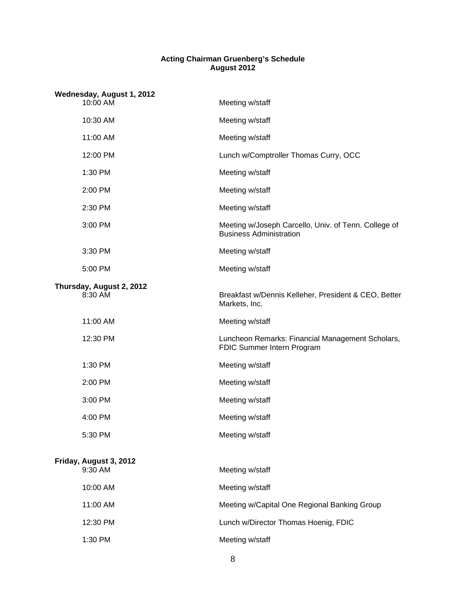## **Acting Chairman Gruenberg's Schedule August 2012**

| Wednesday, August 1, 2012 |                                     |                                                                                        |
|---------------------------|-------------------------------------|----------------------------------------------------------------------------------------|
|                           | 10:00 AM                            | Meeting w/staff                                                                        |
|                           | 10:30 AM                            | Meeting w/staff                                                                        |
|                           | 11:00 AM                            | Meeting w/staff                                                                        |
|                           | 12:00 PM                            | Lunch w/Comptroller Thomas Curry, OCC                                                  |
|                           | 1:30 PM                             | Meeting w/staff                                                                        |
|                           | 2:00 PM                             | Meeting w/staff                                                                        |
|                           | 2:30 PM                             | Meeting w/staff                                                                        |
|                           | 3:00 PM                             | Meeting w/Joseph Carcello, Univ. of Tenn. College of<br><b>Business Administration</b> |
|                           | 3:30 PM                             | Meeting w/staff                                                                        |
|                           | 5:00 PM                             | Meeting w/staff                                                                        |
|                           | Thursday, August 2, 2012<br>8:30 AM | Breakfast w/Dennis Kelleher, President & CEO, Better<br>Markets, Inc.                  |
|                           | 11:00 AM                            | Meeting w/staff                                                                        |
|                           | 12:30 PM                            | Luncheon Remarks: Financial Management Scholars,<br>FDIC Summer Intern Program         |
|                           | 1:30 PM                             | Meeting w/staff                                                                        |
|                           | 2:00 PM                             | Meeting w/staff                                                                        |
|                           | 3:00 PM                             | Meeting w/staff                                                                        |
|                           | 4:00 PM                             | Meeting w/staff                                                                        |
|                           | 5:30 PM                             | Meeting w/staff                                                                        |
|                           | Friday, August 3, 2012<br>9:30 AM   | Meeting w/staff                                                                        |
|                           |                                     |                                                                                        |
|                           | 10:00 AM                            | Meeting w/staff                                                                        |
|                           | 11:00 AM                            | Meeting w/Capital One Regional Banking Group                                           |
|                           | 12:30 PM                            | Lunch w/Director Thomas Hoenig, FDIC                                                   |
|                           | 1:30 PM                             | Meeting w/staff                                                                        |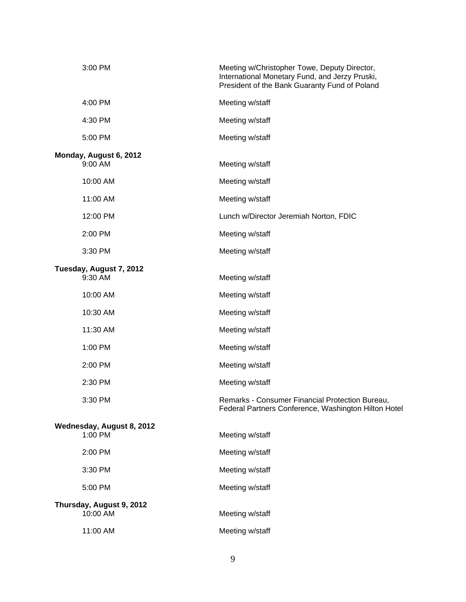| 3:00 PM                              | Meeting w/Christopher Towe, Deputy Director,<br>International Monetary Fund, and Jerzy Pruski,<br>President of the Bank Guaranty Fund of Poland |
|--------------------------------------|-------------------------------------------------------------------------------------------------------------------------------------------------|
| 4:00 PM                              | Meeting w/staff                                                                                                                                 |
| 4:30 PM                              | Meeting w/staff                                                                                                                                 |
| 5:00 PM                              | Meeting w/staff                                                                                                                                 |
| Monday, August 6, 2012<br>9:00 AM    | Meeting w/staff                                                                                                                                 |
| 10:00 AM                             | Meeting w/staff                                                                                                                                 |
| 11:00 AM                             | Meeting w/staff                                                                                                                                 |
| 12:00 PM                             | Lunch w/Director Jeremiah Norton, FDIC                                                                                                          |
| 2:00 PM                              | Meeting w/staff                                                                                                                                 |
| 3:30 PM                              | Meeting w/staff                                                                                                                                 |
| Tuesday, August 7, 2012<br>9:30 AM   | Meeting w/staff                                                                                                                                 |
| 10:00 AM                             | Meeting w/staff                                                                                                                                 |
| 10:30 AM                             | Meeting w/staff                                                                                                                                 |
| 11:30 AM                             | Meeting w/staff                                                                                                                                 |
| 1:00 PM                              | Meeting w/staff                                                                                                                                 |
| 2:00 PM                              | Meeting w/staff                                                                                                                                 |
| 2:30 PM                              | Meeting w/staff                                                                                                                                 |
| 3:30 PM                              | Remarks - Consumer Financial Protection Bureau.<br>Federal Partners Conference, Washington Hilton Hotel                                         |
| Wednesday, August 8, 2012<br>1:00 PM | Meeting w/staff                                                                                                                                 |
| 2:00 PM                              | Meeting w/staff                                                                                                                                 |
| 3:30 PM                              | Meeting w/staff                                                                                                                                 |
| 5:00 PM                              | Meeting w/staff                                                                                                                                 |
| Thursday, August 9, 2012             |                                                                                                                                                 |
| 10:00 AM                             | Meeting w/staff                                                                                                                                 |
| 11:00 AM                             | Meeting w/staff                                                                                                                                 |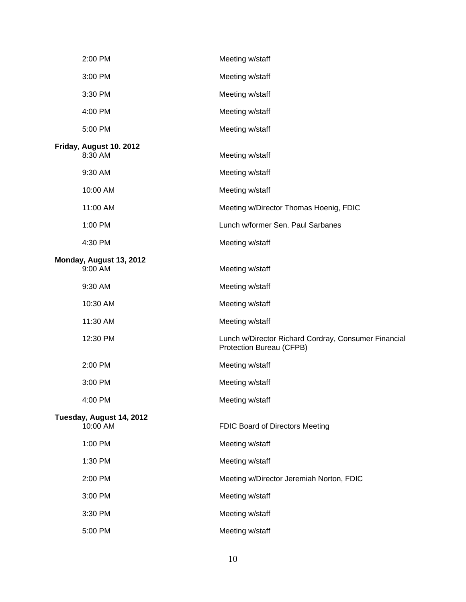| 2:00 PM                              | Meeting w/staff                                                                  |
|--------------------------------------|----------------------------------------------------------------------------------|
| 3:00 PM                              | Meeting w/staff                                                                  |
| 3:30 PM                              | Meeting w/staff                                                                  |
| 4:00 PM                              | Meeting w/staff                                                                  |
| 5:00 PM                              | Meeting w/staff                                                                  |
| Friday, August 10. 2012<br>8:30 AM   | Meeting w/staff                                                                  |
| 9:30 AM                              | Meeting w/staff                                                                  |
| 10:00 AM                             | Meeting w/staff                                                                  |
| 11:00 AM                             | Meeting w/Director Thomas Hoenig, FDIC                                           |
| 1:00 PM                              | Lunch w/former Sen. Paul Sarbanes                                                |
| 4:30 PM                              | Meeting w/staff                                                                  |
| Monday, August 13, 2012<br>9:00 AM   | Meeting w/staff                                                                  |
| 9:30 AM                              | Meeting w/staff                                                                  |
| 10:30 AM                             | Meeting w/staff                                                                  |
| 11:30 AM                             | Meeting w/staff                                                                  |
| 12:30 PM                             | Lunch w/Director Richard Cordray, Consumer Financial<br>Protection Bureau (CFPB) |
| 2:00 PM                              | Meeting w/staff                                                                  |
| 3:00 PM                              | Meeting w/staff                                                                  |
| 4:00 PM                              | Meeting w/staff                                                                  |
| Tuesday, August 14, 2012<br>10:00 AM | FDIC Board of Directors Meeting                                                  |
| 1:00 PM                              | Meeting w/staff                                                                  |
| 1:30 PM                              | Meeting w/staff                                                                  |
| 2:00 PM                              | Meeting w/Director Jeremiah Norton, FDIC                                         |
| 3:00 PM                              | Meeting w/staff                                                                  |
| 3:30 PM                              | Meeting w/staff                                                                  |
| 5:00 PM                              | Meeting w/staff                                                                  |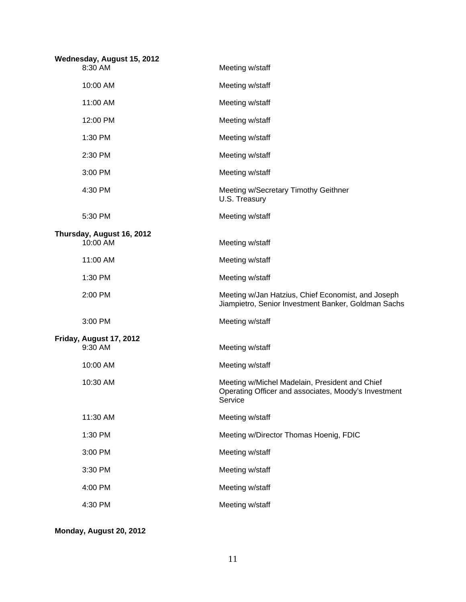| Wednesday, August 15, 2012 |                           |                                                                                                                   |
|----------------------------|---------------------------|-------------------------------------------------------------------------------------------------------------------|
|                            | 8:30 AM                   | Meeting w/staff                                                                                                   |
|                            | 10:00 AM                  | Meeting w/staff                                                                                                   |
|                            | 11:00 AM                  | Meeting w/staff                                                                                                   |
|                            | 12:00 PM                  | Meeting w/staff                                                                                                   |
|                            | 1:30 PM                   | Meeting w/staff                                                                                                   |
|                            | 2:30 PM                   | Meeting w/staff                                                                                                   |
|                            | 3:00 PM                   | Meeting w/staff                                                                                                   |
|                            | 4:30 PM                   | Meeting w/Secretary Timothy Geithner<br>U.S. Treasury                                                             |
|                            | 5:30 PM                   | Meeting w/staff                                                                                                   |
|                            | Thursday, August 16, 2012 |                                                                                                                   |
|                            | 10:00 AM                  | Meeting w/staff                                                                                                   |
|                            | 11:00 AM                  | Meeting w/staff                                                                                                   |
|                            | 1:30 PM                   | Meeting w/staff                                                                                                   |
|                            | 2:00 PM                   | Meeting w/Jan Hatzius, Chief Economist, and Joseph<br>Jiampietro, Senior Investment Banker, Goldman Sachs         |
|                            | 3:00 PM                   | Meeting w/staff                                                                                                   |
|                            | Friday, August 17, 2012   |                                                                                                                   |
|                            | 9:30 AM                   | Meeting w/staff                                                                                                   |
|                            | 10:00 AM                  | Meeting w/staff                                                                                                   |
|                            | 10:30 AM                  | Meeting w/Michel Madelain, President and Chief<br>Operating Officer and associates, Moody's Investment<br>Service |
|                            | 11:30 AM                  | Meeting w/staff                                                                                                   |
|                            | 1:30 PM                   | Meeting w/Director Thomas Hoenig, FDIC                                                                            |
|                            | 3:00 PM                   | Meeting w/staff                                                                                                   |
|                            | 3:30 PM                   | Meeting w/staff                                                                                                   |
|                            | 4:00 PM                   | Meeting w/staff                                                                                                   |
|                            | 4:30 PM                   | Meeting w/staff                                                                                                   |

**Monday, August 20, 2012**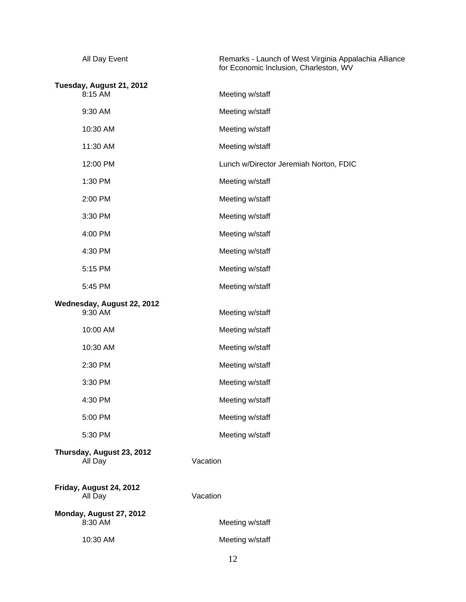| All Day Event                         | Remarks - Launch of West Virginia Appalachia Alliance<br>for Economic Inclusion, Charleston, WV |
|---------------------------------------|-------------------------------------------------------------------------------------------------|
| Tuesday, August 21, 2012<br>8:15 AM   | Meeting w/staff                                                                                 |
| 9:30 AM                               | Meeting w/staff                                                                                 |
| 10:30 AM                              | Meeting w/staff                                                                                 |
| 11:30 AM                              | Meeting w/staff                                                                                 |
| 12:00 PM                              | Lunch w/Director Jeremiah Norton, FDIC                                                          |
| 1:30 PM                               | Meeting w/staff                                                                                 |
| 2:00 PM                               | Meeting w/staff                                                                                 |
| 3:30 PM                               | Meeting w/staff                                                                                 |
| 4:00 PM                               | Meeting w/staff                                                                                 |
| 4:30 PM                               | Meeting w/staff                                                                                 |
| 5:15 PM                               | Meeting w/staff                                                                                 |
| 5:45 PM                               | Meeting w/staff                                                                                 |
| Wednesday, August 22, 2012<br>9:30 AM | Meeting w/staff                                                                                 |
| 10:00 AM                              | Meeting w/staff                                                                                 |
| 10:30 AM                              | Meeting w/staff                                                                                 |
| 2:30 PM                               | Meeting w/staff                                                                                 |
| 3:30 PM                               | Meeting w/staff                                                                                 |
| 4:30 PM                               | Meeting w/staff                                                                                 |
| 5:00 PM                               | Meeting w/staff                                                                                 |
| 5:30 PM                               | Meeting w/staff                                                                                 |
| Thursday, August 23, 2012<br>All Day  | Vacation                                                                                        |
| Friday, August 24, 2012<br>All Day    | Vacation                                                                                        |
| Monday, August 27, 2012<br>8:30 AM    | Meeting w/staff                                                                                 |
| 10:30 AM                              | Meeting w/staff                                                                                 |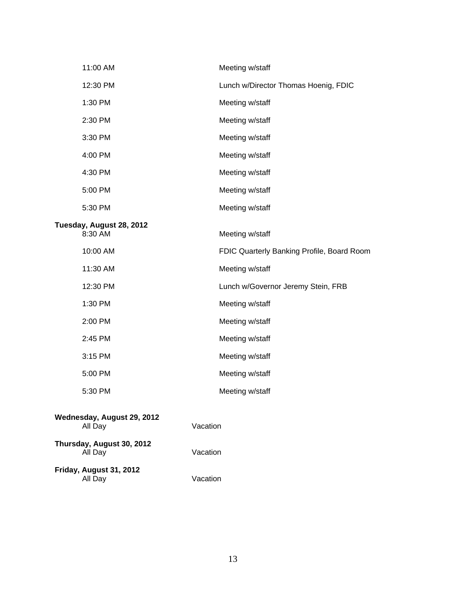| 11:00 AM                              |          | Meeting w/staff                            |
|---------------------------------------|----------|--------------------------------------------|
| 12:30 PM                              |          | Lunch w/Director Thomas Hoenig, FDIC       |
| 1:30 PM                               |          | Meeting w/staff                            |
| 2:30 PM                               |          | Meeting w/staff                            |
| 3:30 PM                               |          | Meeting w/staff                            |
| 4:00 PM                               |          | Meeting w/staff                            |
| 4:30 PM                               |          | Meeting w/staff                            |
| 5:00 PM                               |          | Meeting w/staff                            |
| 5:30 PM                               |          | Meeting w/staff                            |
| Tuesday, August 28, 2012<br>8:30 AM   |          | Meeting w/staff                            |
| 10:00 AM                              |          | FDIC Quarterly Banking Profile, Board Room |
| 11:30 AM                              |          | Meeting w/staff                            |
| 12:30 PM                              |          | Lunch w/Governor Jeremy Stein, FRB         |
| 1:30 PM                               |          | Meeting w/staff                            |
| 2:00 PM                               |          | Meeting w/staff                            |
| 2:45 PM                               |          | Meeting w/staff                            |
| 3:15 PM                               |          | Meeting w/staff                            |
| 5:00 PM                               |          | Meeting w/staff                            |
| 5:30 PM                               |          | Meeting w/staff                            |
| Wednesday, August 29, 2012<br>All Day | Vacation |                                            |
| Thursday, August 30, 2012<br>All Day  | Vacation |                                            |
| Friday, August 31, 2012               |          |                                            |

All Day Vacation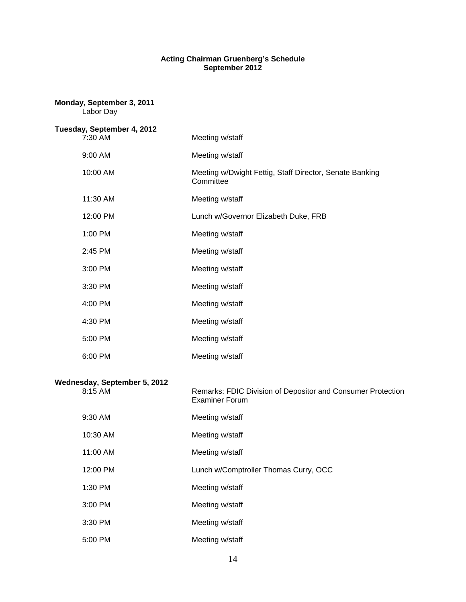## **Acting Chairman Gruenberg's Schedule September 2012**

| Monday, September 3, 2011<br>Labor Day  |                                                                                      |  |  |
|-----------------------------------------|--------------------------------------------------------------------------------------|--|--|
| Tuesday, September 4, 2012<br>7:30 AM   | Meeting w/staff                                                                      |  |  |
| 9:00 AM                                 | Meeting w/staff                                                                      |  |  |
| 10:00 AM                                | Meeting w/Dwight Fettig, Staff Director, Senate Banking<br>Committee                 |  |  |
| 11:30 AM                                | Meeting w/staff                                                                      |  |  |
| 12:00 PM                                | Lunch w/Governor Elizabeth Duke, FRB                                                 |  |  |
| 1:00 PM                                 | Meeting w/staff                                                                      |  |  |
| 2:45 PM                                 | Meeting w/staff                                                                      |  |  |
| 3:00 PM                                 | Meeting w/staff                                                                      |  |  |
| 3:30 PM                                 | Meeting w/staff                                                                      |  |  |
| 4:00 PM                                 | Meeting w/staff                                                                      |  |  |
| 4:30 PM                                 | Meeting w/staff                                                                      |  |  |
| 5:00 PM                                 | Meeting w/staff                                                                      |  |  |
| 6:00 PM                                 | Meeting w/staff                                                                      |  |  |
| Wednesday, September 5, 2012<br>8:15 AM | Remarks: FDIC Division of Depositor and Consumer Protection<br><b>Examiner Forum</b> |  |  |
| 9:30 AM                                 | Meeting w/staff                                                                      |  |  |
| 10:30 AM                                | Meeting w/staff                                                                      |  |  |
| 11:00 AM                                | Meeting w/staff                                                                      |  |  |
| 12:00 PM                                | Lunch w/Comptroller Thomas Curry, OCC                                                |  |  |
| 1:30 PM                                 | Meeting w/staff                                                                      |  |  |
| 3:00 PM                                 | Meeting w/staff                                                                      |  |  |
| 3:30 PM                                 | Meeting w/staff                                                                      |  |  |
| 5:00 PM                                 | Meeting w/staff                                                                      |  |  |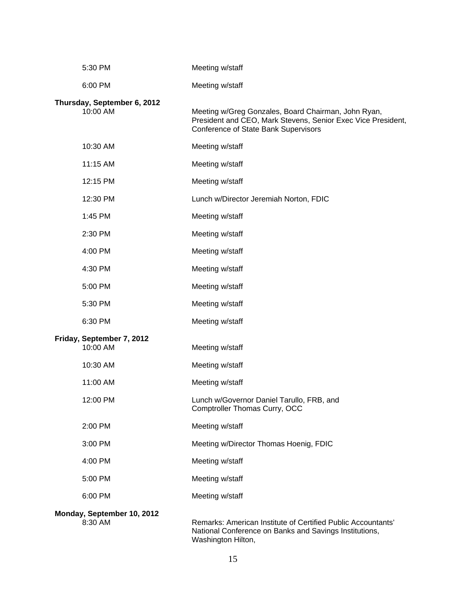| 5:30 PM                                 | Meeting w/staff                                                                                                                                             |
|-----------------------------------------|-------------------------------------------------------------------------------------------------------------------------------------------------------------|
| 6:00 PM                                 | Meeting w/staff                                                                                                                                             |
| Thursday, September 6, 2012<br>10:00 AM | Meeting w/Greg Gonzales, Board Chairman, John Ryan,<br>President and CEO, Mark Stevens, Senior Exec Vice President,<br>Conference of State Bank Supervisors |
| 10:30 AM                                | Meeting w/staff                                                                                                                                             |
| 11:15 AM                                | Meeting w/staff                                                                                                                                             |
| 12:15 PM                                | Meeting w/staff                                                                                                                                             |
| 12:30 PM                                | Lunch w/Director Jeremiah Norton, FDIC                                                                                                                      |
| 1:45 PM                                 | Meeting w/staff                                                                                                                                             |
| 2:30 PM                                 | Meeting w/staff                                                                                                                                             |
| 4:00 PM                                 | Meeting w/staff                                                                                                                                             |
| 4:30 PM                                 | Meeting w/staff                                                                                                                                             |
| 5:00 PM                                 | Meeting w/staff                                                                                                                                             |
| 5:30 PM                                 | Meeting w/staff                                                                                                                                             |
| 6:30 PM                                 | Meeting w/staff                                                                                                                                             |
| Friday, September 7, 2012<br>10:00 AM   | Meeting w/staff                                                                                                                                             |
| 10:30 AM                                | Meeting w/staff                                                                                                                                             |
| 11:00 AM                                | Meeting w/staff                                                                                                                                             |
| 12:00 PM                                | Lunch w/Governor Daniel Tarullo, FRB, and<br>Comptroller Thomas Curry, OCC                                                                                  |
| 2:00 PM                                 | Meeting w/staff                                                                                                                                             |
| 3:00 PM                                 | Meeting w/Director Thomas Hoenig, FDIC                                                                                                                      |
| 4:00 PM                                 | Meeting w/staff                                                                                                                                             |
| 5:00 PM                                 | Meeting w/staff                                                                                                                                             |
| 6:00 PM                                 | Meeting w/staff                                                                                                                                             |
| Monday, September 10, 2012<br>8:30 AM   | Remarks: American Institute of Certified Public Accountants'<br>National Conference on Banks and Savings Institutions,<br>Washington Hilton,                |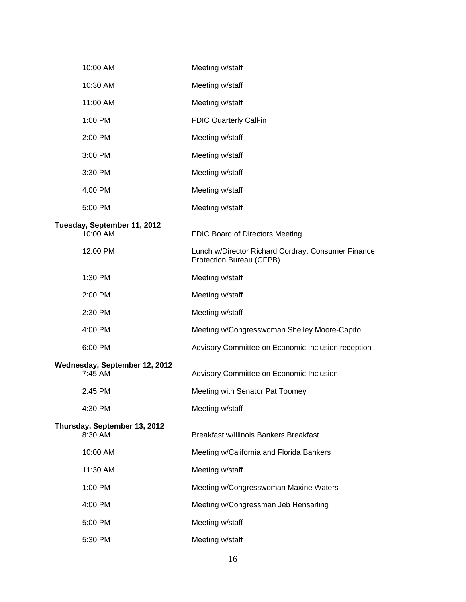| 10:00 AM                                 | Meeting w/staff                                                                |
|------------------------------------------|--------------------------------------------------------------------------------|
| 10:30 AM                                 | Meeting w/staff                                                                |
| 11:00 AM                                 | Meeting w/staff                                                                |
| 1:00 PM                                  | FDIC Quarterly Call-in                                                         |
| 2:00 PM                                  | Meeting w/staff                                                                |
| 3:00 PM                                  | Meeting w/staff                                                                |
| 3:30 PM                                  | Meeting w/staff                                                                |
| 4:00 PM                                  | Meeting w/staff                                                                |
| 5:00 PM                                  | Meeting w/staff                                                                |
| Tuesday, September 11, 2012<br>10:00 AM  | <b>FDIC Board of Directors Meeting</b>                                         |
| 12:00 PM                                 | Lunch w/Director Richard Cordray, Consumer Finance<br>Protection Bureau (CFPB) |
| 1:30 PM                                  | Meeting w/staff                                                                |
| 2:00 PM                                  | Meeting w/staff                                                                |
| 2:30 PM                                  | Meeting w/staff                                                                |
| 4:00 PM                                  | Meeting w/Congresswoman Shelley Moore-Capito                                   |
| 6:00 PM                                  | Advisory Committee on Economic Inclusion reception                             |
| Wednesday, September 12, 2012<br>7:45 AM | Advisory Committee on Economic Inclusion                                       |
| 2:45 PM                                  | Meeting with Senator Pat Toomey                                                |
| 4:30 PM                                  | Meeting w/staff                                                                |
| Thursday, September 13, 2012<br>8:30 AM  | Breakfast w/Illinois Bankers Breakfast                                         |
| 10:00 AM                                 | Meeting w/California and Florida Bankers                                       |
| 11:30 AM                                 | Meeting w/staff                                                                |
| 1:00 PM                                  | Meeting w/Congresswoman Maxine Waters                                          |
| 4:00 PM                                  | Meeting w/Congressman Jeb Hensarling                                           |
| 5:00 PM                                  | Meeting w/staff                                                                |
| 5:30 PM                                  | Meeting w/staff                                                                |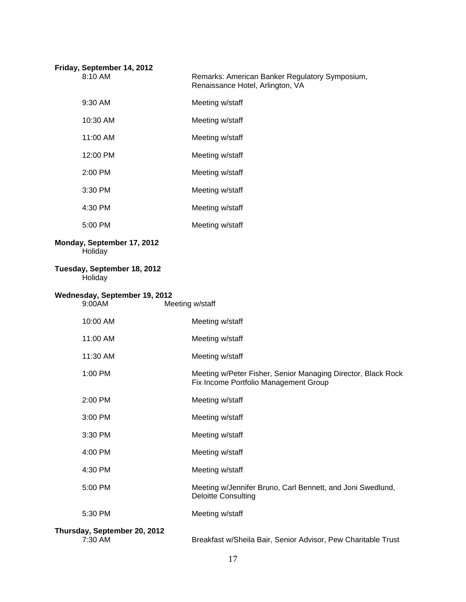| Friday, September 14, 2012<br>8:10 AM   | Remarks: American Banker Regulatory Symposium,<br>Renaissance Hotel, Arlington, VA                    |
|-----------------------------------------|-------------------------------------------------------------------------------------------------------|
| 9:30 AM                                 | Meeting w/staff                                                                                       |
| 10:30 AM                                | Meeting w/staff                                                                                       |
| 11:00 AM                                | Meeting w/staff                                                                                       |
| 12:00 PM                                | Meeting w/staff                                                                                       |
| 2:00 PM                                 | Meeting w/staff                                                                                       |
| 3:30 PM                                 | Meeting w/staff                                                                                       |
| 4:30 PM                                 | Meeting w/staff                                                                                       |
| 5:00 PM                                 | Meeting w/staff                                                                                       |
| Monday, September 17, 2012<br>Holiday   |                                                                                                       |
| Tuesday, September 18, 2012<br>Holiday  |                                                                                                       |
| Wednesday, September 19, 2012<br>9:00AM | Meeting w/staff                                                                                       |
| 10:00 AM                                | Meeting w/staff                                                                                       |
| 11:00 AM                                | Meeting w/staff                                                                                       |
| 11:30 AM                                | Meeting w/staff                                                                                       |
| 1:00 PM                                 | Meeting w/Peter Fisher, Senior Managing Director, Black Rock<br>Fix Income Portfolio Management Group |
| 2:00 PM                                 | Meeting w/staff                                                                                       |
| 3:00 PM                                 | Meeting w/staff                                                                                       |
| 3:30 PM                                 | Meeting w/staff                                                                                       |
| 4:00 PM                                 | Meeting w/staff                                                                                       |
| 4:30 PM                                 | Meeting w/staff                                                                                       |
| 5:00 PM                                 | Meeting w/Jennifer Bruno, Carl Bennett, and Joni Swedlund,<br><b>Deloitte Consulting</b>              |
| 5:30 PM                                 | Meeting w/staff                                                                                       |

## **Thursday, September 20, 2012**

Breakfast w/Sheila Bair, Senior Advisor, Pew Charitable Trust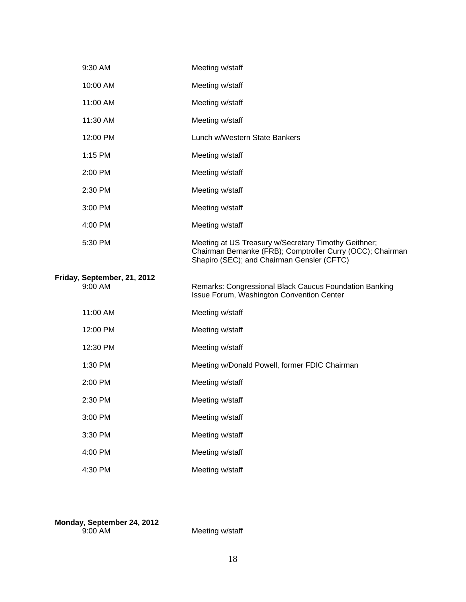| 9:30 AM                                | Meeting w/staff                                                                                                                                                  |
|----------------------------------------|------------------------------------------------------------------------------------------------------------------------------------------------------------------|
| 10:00 AM                               | Meeting w/staff                                                                                                                                                  |
| 11:00 AM                               | Meeting w/staff                                                                                                                                                  |
| 11:30 AM                               | Meeting w/staff                                                                                                                                                  |
| 12:00 PM                               | Lunch w/Western State Bankers                                                                                                                                    |
| 1:15 PM                                | Meeting w/staff                                                                                                                                                  |
| 2:00 PM                                | Meeting w/staff                                                                                                                                                  |
| 2:30 PM                                | Meeting w/staff                                                                                                                                                  |
| 3:00 PM                                | Meeting w/staff                                                                                                                                                  |
| 4:00 PM                                | Meeting w/staff                                                                                                                                                  |
| 5:30 PM                                | Meeting at US Treasury w/Secretary Timothy Geithner;<br>Chairman Bernanke (FRB); Comptroller Curry (OCC); Chairman<br>Shapiro (SEC); and Chairman Gensler (CFTC) |
| Friday, September, 21, 2012<br>9:00 AM | Remarks: Congressional Black Caucus Foundation Banking<br>Issue Forum, Washington Convention Center                                                              |
| 11:00 AM                               | Meeting w/staff                                                                                                                                                  |
| 12:00 PM                               | Meeting w/staff                                                                                                                                                  |
|                                        |                                                                                                                                                                  |
| 12:30 PM                               | Meeting w/staff                                                                                                                                                  |
| 1:30 PM                                | Meeting w/Donald Powell, former FDIC Chairman                                                                                                                    |
| 2:00 PM                                | Meeting w/staff                                                                                                                                                  |
| 2:30 PM                                | Meeting w/staff                                                                                                                                                  |
| 3:00 PM                                | Meeting w/staff                                                                                                                                                  |
| 3:30 PM                                | Meeting w/staff                                                                                                                                                  |
| 4:00 PM                                | Meeting w/staff                                                                                                                                                  |

**Monday, September 24, 2012**  9:00 AMMeeting w/staff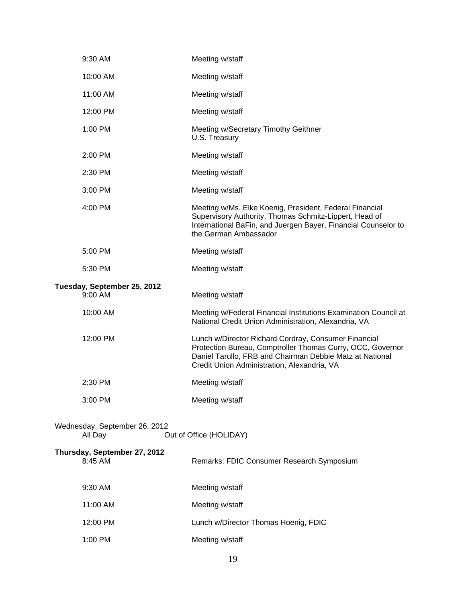|                                                                     | 9:30 AM                                 | Meeting w/staff                                                                                                                                                                                                               |  |
|---------------------------------------------------------------------|-----------------------------------------|-------------------------------------------------------------------------------------------------------------------------------------------------------------------------------------------------------------------------------|--|
|                                                                     | 10:00 AM                                | Meeting w/staff                                                                                                                                                                                                               |  |
|                                                                     | 11:00 AM                                | Meeting w/staff                                                                                                                                                                                                               |  |
|                                                                     | 12:00 PM                                | Meeting w/staff                                                                                                                                                                                                               |  |
|                                                                     | 1:00 PM                                 | Meeting w/Secretary Timothy Geithner<br>U.S. Treasury                                                                                                                                                                         |  |
|                                                                     | 2:00 PM                                 | Meeting w/staff                                                                                                                                                                                                               |  |
|                                                                     | 2:30 PM                                 | Meeting w/staff                                                                                                                                                                                                               |  |
|                                                                     | 3:00 PM                                 | Meeting w/staff                                                                                                                                                                                                               |  |
|                                                                     | 4:00 PM                                 | Meeting w/Ms. Elke Koenig, President, Federal Financial<br>Supervisory Authority, Thomas Schmitz-Lippert, Head of<br>International BaFin, and Juergen Bayer, Financial Counselor to<br>the German Ambassador                  |  |
|                                                                     | 5:00 PM                                 | Meeting w/staff                                                                                                                                                                                                               |  |
|                                                                     | 5:30 PM                                 | Meeting w/staff                                                                                                                                                                                                               |  |
|                                                                     | Tuesday, September 25, 2012<br>9:00 AM  | Meeting w/staff                                                                                                                                                                                                               |  |
|                                                                     |                                         |                                                                                                                                                                                                                               |  |
|                                                                     | 10:00 AM                                | Meeting w/Federal Financial Institutions Examination Council at<br>National Credit Union Administration, Alexandria, VA                                                                                                       |  |
|                                                                     | 12:00 PM                                | Lunch w/Director Richard Cordray, Consumer Financial<br>Protection Bureau, Comptroller Thomas Curry, OCC, Governor<br>Daniel Tarullo, FRB and Chairman Debbie Matz at National<br>Credit Union Administration, Alexandria, VA |  |
|                                                                     | 2:30 PM                                 | Meeting w/staff                                                                                                                                                                                                               |  |
|                                                                     | 3:00 PM                                 | Meeting w/staff                                                                                                                                                                                                               |  |
| Wednesday, September 26, 2012<br>Out of Office (HOLIDAY)<br>All Day |                                         |                                                                                                                                                                                                                               |  |
|                                                                     | Thursday, September 27, 2012<br>8:45 AM | Remarks: FDIC Consumer Research Symposium                                                                                                                                                                                     |  |
|                                                                     | 9:30 AM                                 | Meeting w/staff                                                                                                                                                                                                               |  |
|                                                                     | 11:00 AM                                | Meeting w/staff                                                                                                                                                                                                               |  |
|                                                                     | 12:00 PM                                | Lunch w/Director Thomas Hoenig, FDIC                                                                                                                                                                                          |  |
|                                                                     | 1:00 PM                                 | Meeting w/staff                                                                                                                                                                                                               |  |
|                                                                     |                                         |                                                                                                                                                                                                                               |  |